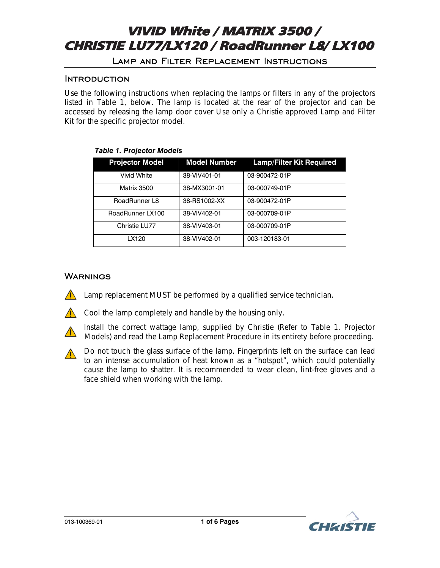# Lamp and Filter Replacement Instructions

# **INTRODUCTION**

Use the following instructions when replacing the lamps or filters in any of the projectors listed in Table 1, below. The lamp is located at the rear of the projector and can be accessed by releasing the lamp door cover Use only a Christie approved *Lamp and Filter Kit* for the specific projector model.

| <b>Projector Model</b> | <b>Model Number</b> | <b>Lamp/Filter Kit Required</b> |
|------------------------|---------------------|---------------------------------|
| <b>Vivid White</b>     | 38-VIV401-01        | 03-900472-01P                   |
| Matrix 3500            | 38-MX3001-01        | 03-000749-01P                   |
| RoadRunner L8          | 38-RS1002-XX        | 03-900472-01P                   |
| RoadRunner LX100       | 38-VIV402-01        | 03-000709-01P                   |
| Christie LU77          | 38-VIV403-01        | 03-000709-01P                   |
| LX120                  | 38-VIV402-01        | 003-120183-01                   |

# *Table 1. Projector Models*

# **WARNINGS**

*Lamp replacement MUST be performed by a qualified service technician.* 



*Cool the lamp completely and handle by the housing only.* 



 *Install the correct wattage lamp, supplied by Christie (Refer to Table 1. Projector Models) and read the Lamp Replacement Procedure in its entirety before proceeding.* 

 *Do not touch the glass surface of the lamp. Fingerprints left on the surface can lead to an intense accumulation of heat known as a "hotspot", which could potentially cause the lamp to shatter. It is recommended to wear clean, lint-free gloves and a face shield when working with the lamp.* 

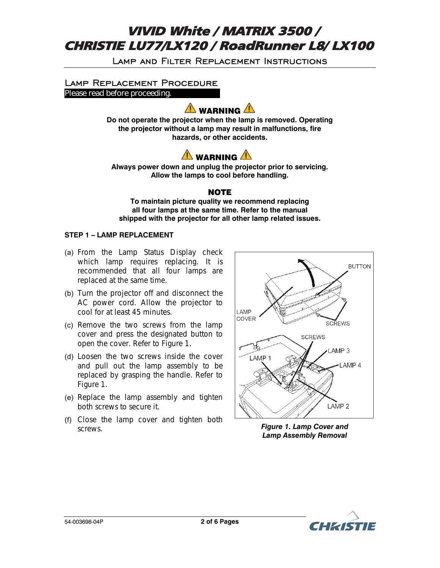Lamp and Filter Replacement Instructions

# Lamp Replacement Procedure **Please read before proceeding.**

<mark>'!</mark>∆ WARNING ∠

**Do not operate the projector when the lamp is removed. Operating the projector without a lamp may result in malfunctions, fire hazards, or other accidents.** 



**Always power down and unplug the projector prior to servicing. Allow the lamps to cool before handling.** 

# NOTE

**To maintain picture quality we recommend replacing all four lamps at the same time. Refer to the manual shipped with the projector for all other lamp related issues.** 

# **STEP 1 – LAMP REPLACEMENT**

- (a) From the Lamp Status Display check which lamp requires replacing. It is recommended that all four lamps are replaced at the same time.
- (b) Turn the projector off and disconnect the AC power cord. Allow the projector to cool for at least 45 minutes.
- (c) Remove the two screws from the lamp cover and press the designated button to open the cover. Refer to Figure 1.
- (d) Loosen the two screws inside the cover and pull out the lamp assembly to be replaced by grasping the handle. Refer to Figure 1.
- (e) Replace the lamp assembly and tighten both screws to secure it.
- (f) Close the lamp cover and tighten both screws. *Figure 1. Lamp Cover and*



*Lamp Assembly Removal* 

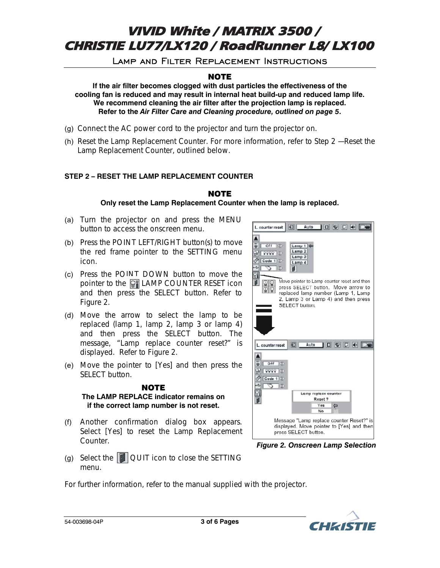Lamp and Filter Replacement Instructions

# NOTE

**If the air filter becomes clogged with dust particles the effectiveness of the cooling fan is reduced and may result in internal heat build-up and reduced lamp life. We recommend cleaning the air filter after the projection lamp is replaced. Refer to the** *Air Filter Care and Cleaning procedure, outlined on page 5***.** 

- (g) Connect the AC power cord to the projector and turn the projector on.
- (h) Reset the Lamp Replacement Counter. For more information, refer to *Step 2 Reset the Lamp Replacement Counter*, outlined below.

# **STEP 2 – RESET THE LAMP REPLACEMENT COUNTER**

# NOTE

**Only reset the Lamp Replacement Counter when the lamp is replaced.** 

- (a) Turn the projector on and press the MENU button to access the onscreen menu.
- (b) Press the POINT LEFT/RIGHT button(s) to move the red frame pointer to the SETTING menu icon.
- (c) Press the POINT DOWN button to move the pointer to the  $\left\| \mathbf{F} \right\|$  LAMP COUNTER RESET icon and then press the SELECT button. Refer to Figure 2.
- (d) Move the arrow to select the lamp to be replaced (lamp 1, lamp 2, lamp 3 or lamp 4) and then press the SELECT button. The message, "Lamp replace counter reset?" is displayed. Refer to Figure 2.
- (e) Move the pointer to [Yes] and then press the SELECT button.

#### **NOTE The LAMP REPLACE indicator remains on if the correct lamp number is not reset.**

(f) Another confirmation dialog box appears. Select [Yes] to reset the Lamp Replacement Counter.



*Figure 2. Onscreen Lamp Selection* 

(g) Select the  $\Box$  QUIT icon to close the SETTING menu.

*For further information, refer to the manual supplied with the projector.* 

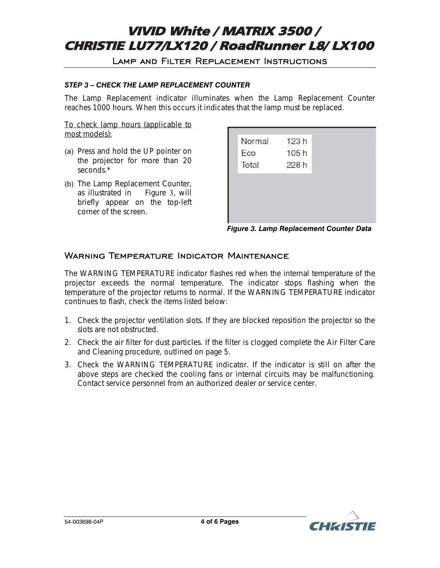# Lamp and Filter Replacement Instructions

# *STEP 3 – CHECK THE LAMP REPLACEMENT COUNTER*

The Lamp Replacement indicator illuminates when the Lamp Replacement Counter reaches 1000 hours. When this occurs it indicates that the lamp must be replaced.

To check lamp hours (applicable to most models):

- (a) Press and hold the UP pointer on the projector for more than 20 seconds.\*
- (b) The Lamp Replacement Counter, as illustrated in Figure 3, will briefly appear on the top-left corner of the screen.

| Normal | 123h |  |
|--------|------|--|
| Eco    | 105h |  |
| Total  | 228h |  |
|        |      |  |
|        |      |  |
|        |      |  |
|        |      |  |
|        |      |  |

#### *Figure 3. Lamp Replacement Counter Data*

# WARNING TEMPERATURE INDICATOR MAINTENANCE

The WARNING TEMPERATURE indicator flashes red when the internal temperature of the projector exceeds the normal temperature. The indicator stops flashing when the temperature of the projector returns to normal. If the WARNING TEMPERATURE indicator continues to flash, check the items listed below:

- 1. Check the projector ventilation slots. If they are blocked reposition the projector so the slots are not obstructed.
- 2. Check the air filter for dust particles. If the filter is clogged complete the *Air Filter Care and Cleaning procedure, outlined on page 5*.
- 3. Check the WARNING TEMPERATURE indicator. If the indicator is still on after the above steps are checked the cooling fans or internal circuits may be malfunctioning. Contact service personnel from an authorized dealer or service center.

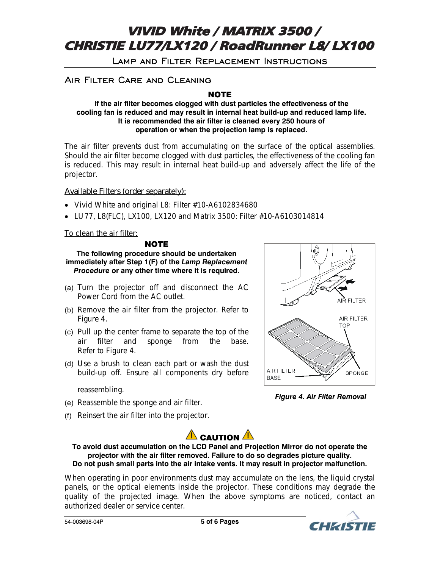Lamp and Filter Replacement Instructions

# Air Filter Care and Cleaning

NOTE

#### **If the air filter becomes clogged with dust particles the effectiveness of the cooling fan is reduced and may result in internal heat build-up and reduced lamp life. It is recommended the air filter is cleaned every 250 hours of operation or when the projection lamp is replaced.**

The air filter prevents dust from accumulating on the surface of the optical assemblies. Should the air filter become clogged with dust particles, the effectiveness of the cooling fan is reduced. This may result in internal heat build-up and adversely affect the life of the projector.

# **Available Filters (order separately):**

- Vivid White and original L8: Filter #10-A6102834680
- LU77, L8(FLC), LX100, LX120 and Matrix 3500: Filter #10-A6103014814

To clean the air filter:

# **NOTE**

**The following procedure should be undertaken immediately after Step 1(F) of the** *Lamp Replacement Procedure* **or any other time where it is required.**

- (a) Turn the projector off and disconnect the AC Power Cord from the AC outlet.
- (b) Remove the air filter from the projector. Refer to Figure 4.
- (c) Pull up the center frame to separate the top of the air filter and sponge from the base. Refer to Figure 4.
- (d) Use a brush to clean each part or wash the dust build-up off. Ensure all components dry before

reassembling.

- (e) Reassemble the sponge and air filter.
- (f) Reinsert the air filter into the projector.



*Figure 4. Air Filter Removal* 



### **To avoid dust accumulation on the LCD Panel and Projection Mirror do not operate the projector with the air filter removed. Failure to do so degrades picture quality. Do not push small parts into the air intake vents. It may result in projector malfunction.**

When operating in poor environments dust may accumulate on the lens, the liquid crystal panels, or the optical elements inside the projector. These conditions may degrade the quality of the projected image. When the above symptoms are noticed, contact an authorized dealer or service center.